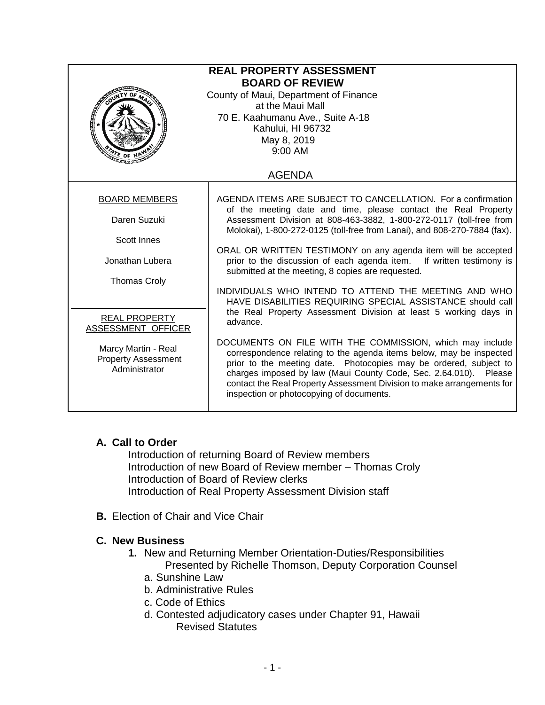| <b>REAL PROPERTY ASSESSMENT</b><br><b>BOARD OF REVIEW</b><br>County of Maui, Department of Finance<br>at the Maui Mall<br>70 E. Kaahumanu Ave., Suite A-18<br>Kahului, HI 96732<br>May 8, 2019<br>9:00 AM<br>$\frac{A}{\sqrt{k}}$ of $\frac{H}{\sqrt{k}}$ |                                                                                                                                                                                                                                                                                                                                                                                                                                                                                                                                                                                                                                                                                       |
|-----------------------------------------------------------------------------------------------------------------------------------------------------------------------------------------------------------------------------------------------------------|---------------------------------------------------------------------------------------------------------------------------------------------------------------------------------------------------------------------------------------------------------------------------------------------------------------------------------------------------------------------------------------------------------------------------------------------------------------------------------------------------------------------------------------------------------------------------------------------------------------------------------------------------------------------------------------|
| <b>AGENDA</b>                                                                                                                                                                                                                                             |                                                                                                                                                                                                                                                                                                                                                                                                                                                                                                                                                                                                                                                                                       |
| <b>BOARD MEMBERS</b><br>Daren Suzuki<br><b>Scott Innes</b><br>Jonathan Lubera<br><b>Thomas Croly</b><br><b>REAL PROPERTY</b><br>ASSESSMENT OFFICER                                                                                                        | AGENDA ITEMS ARE SUBJECT TO CANCELLATION. For a confirmation<br>of the meeting date and time, please contact the Real Property<br>Assessment Division at 808-463-3882, 1-800-272-0117 (toll-free from<br>Molokai), 1-800-272-0125 (toll-free from Lanai), and 808-270-7884 (fax).<br>ORAL OR WRITTEN TESTIMONY on any agenda item will be accepted<br>prior to the discussion of each agenda item. If written testimony is<br>submitted at the meeting, 8 copies are requested.<br>INDIVIDUALS WHO INTEND TO ATTEND THE MEETING AND WHO<br>HAVE DISABILITIES REQUIRING SPECIAL ASSISTANCE should call<br>the Real Property Assessment Division at least 5 working days in<br>advance. |
| Marcy Martin - Real<br><b>Property Assessment</b><br>Administrator                                                                                                                                                                                        | DOCUMENTS ON FILE WITH THE COMMISSION, which may include<br>correspondence relating to the agenda items below, may be inspected<br>prior to the meeting date. Photocopies may be ordered, subject to<br>charges imposed by law (Maui County Code, Sec. 2.64.010). Please<br>contact the Real Property Assessment Division to make arrangements for<br>inspection or photocopying of documents.                                                                                                                                                                                                                                                                                        |

## **A. Call to Order**

Introduction of returning Board of Review members Introduction of new Board of Review member – Thomas Croly Introduction of Board of Review clerks Introduction of Real Property Assessment Division staff

**B.** Election of Chair and Vice Chair

## **C. New Business**

- **1.** New and Returning Member Orientation-Duties/Responsibilities Presented by Richelle Thomson, Deputy Corporation Counsel
	- a. Sunshine Law
	- b. Administrative Rules
	- c. Code of Ethics
	- d. Contested adjudicatory cases under Chapter 91, Hawaii Revised Statutes